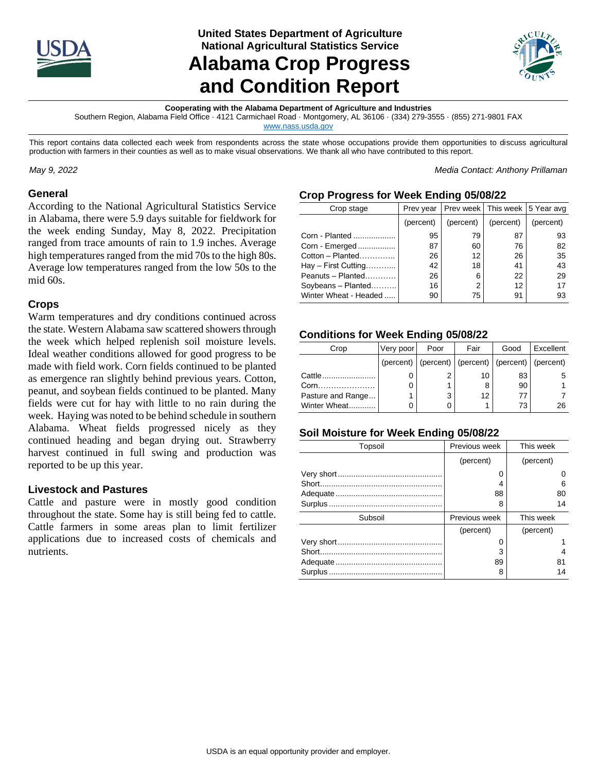

**United States Department of Agriculture National Agricultural Statistics Service**

## **Alabama Crop Progress and Condition Report**



#### **Cooperating with the Alabama Department of Agriculture and Industries**

Southern Region, Alabama Field Office · 4121 Carmichael Road · Montgomery, AL 36106 · (334) 279-3555 · (855) 271-9801 FAX

[www.nass.usda.gov](file://///kcfsn02/SOR/PUBLICATIONS/ARG/GA/PUB/WEATHER/www.nass.usda.gov)

This report contains data collected each week from respondents across the state whose occupations provide them opportunities to discuss agricultural production with farmers in their counties as well as to make visual observations. We thank all who have contributed to this report.

*May 9, 2022 Media Contact: Anthony Prillaman*

### **General**

According to the National Agricultural Statistics Service in Alabama, there were 5.9 days suitable for fieldwork for the week ending Sunday, May 8, 2022. Precipitation ranged from trace amounts of rain to 1.9 inches. Average high temperatures ranged from the mid 70s to the high 80s. Average low temperatures ranged from the low 50s to the mid 60s.

## **Crops**

Warm temperatures and dry conditions continued across the state. Western Alabama saw scattered showers through the week which helped replenish soil moisture levels. Ideal weather conditions allowed for good progress to be made with field work. Corn fields continued to be planted as emergence ran slightly behind previous years. Cotton, peanut, and soybean fields continued to be planted. Many fields were cut for hay with little to no rain during the week. Haying was noted to be behind schedule in southern Alabama. Wheat fields progressed nicely as they continued heading and began drying out. Strawberry harvest continued in full swing and production was reported to be up this year.

### **Livestock and Pastures**

Cattle and pasture were in mostly good condition throughout the state. Some hay is still being fed to cattle. Cattle farmers in some areas plan to limit fertilizer applications due to increased costs of chemicals and nutrients.

## **Crop Progress for Week Ending 05/08/22**

| Crop stage            | Prev year |           | Prev week   This week   5 Year avg |           |
|-----------------------|-----------|-----------|------------------------------------|-----------|
|                       | (percent) | (percent) | (percent)                          | (percent) |
| Corn - Planted        | 95        | 79        | 87                                 | 93        |
| Corn - Emerged        | 87        | 60        | 76                                 | 82        |
| Cotton - Planted      | 26        | 12        | 26                                 | 35        |
| $Hay - First Cutting$ | 42        | 18        | 41                                 | 43        |
| Peanuts - Planted     | 26        | 6         | 22                                 | 29        |
| Soybeans - Planted    | 16        | 2         | 12                                 | 17        |
| Winter Wheat - Headed | 90        | 75        | 91                                 | 93        |
|                       |           |           |                                    |           |

## **Conditions for Week Ending 05/08/22**

| Crop              | Very poor | Poor | Fair                         | Good                | Excellent |
|-------------------|-----------|------|------------------------------|---------------------|-----------|
|                   | (percent) |      | $(\text{percent})$ (percent) | (percent) (percent) |           |
| Cattle            |           |      | 10                           | 83                  |           |
| Corn              |           |      | 8                            | 90                  |           |
| Pasture and Range |           | 3    | 12                           | 77                  |           |
| Winter Wheat      |           |      |                              | 73                  | 26        |

## **Soil Moisture for Week Ending 05/08/22**

| Topsoil | Previous week | This week |
|---------|---------------|-----------|
|         | (percent)     | (percent) |
|         | 0             |           |
|         | 4             | 6         |
|         | 88            | 80        |
|         | 8             | 14        |
|         |               |           |
| Subsoil | Previous week | This week |
|         | (percent)     | (percent) |
|         | 0             |           |
|         | 3             | 4         |
|         | 89            | 81        |
|         | 8             | 14        |